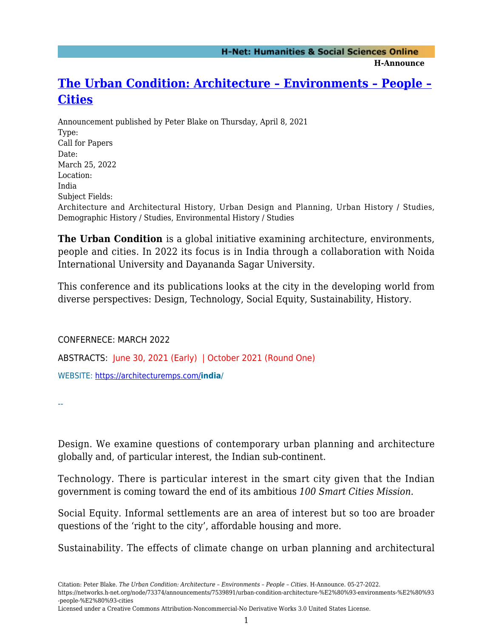**H-Announce** 

## **[The Urban Condition: Architecture – Environments – People –](https://networks.h-net.org/node/73374/announcements/7539891/urban-condition-architecture-%E2%80%93-environments-%E2%80%93-people-%E2%80%93-cities) [Cities](https://networks.h-net.org/node/73374/announcements/7539891/urban-condition-architecture-%E2%80%93-environments-%E2%80%93-people-%E2%80%93-cities)**

Announcement published by Peter Blake on Thursday, April 8, 2021 Type: Call for Papers Date: March 25, 2022 Location: India Subject Fields: Architecture and Architectural History, Urban Design and Planning, Urban History / Studies, Demographic History / Studies, Environmental History / Studies

**The Urban Condition** is a global initiative examining architecture, environments, people and cities. In 2022 its focus is in India through a collaboration with Noida International University and Dayananda Sagar University.

This conference and its publications looks at the city in the developing world from diverse perspectives: Design, Technology, Social Equity, Sustainability, History.

CONFERNECE: MARCH 2022

ABSTRACTS: June 30, 2021 (Early) | October 2021 (Round One)

WEBSITE:<https://architecturemps.com/>**india**/

--

Design. We examine questions of contemporary urban planning and architecture globally and, of particular interest, the Indian sub-continent.

Technology. There is particular interest in the smart city given that the Indian government is coming toward the end of its ambitious *100 Smart Cities Mission.*

Social Equity. Informal settlements are an area of interest but so too are broader questions of the 'right to the city', affordable housing and more.

Sustainability. The effects of climate change on urban planning and architectural

Licensed under a Creative Commons Attribution-Noncommercial-No Derivative Works 3.0 United States License.